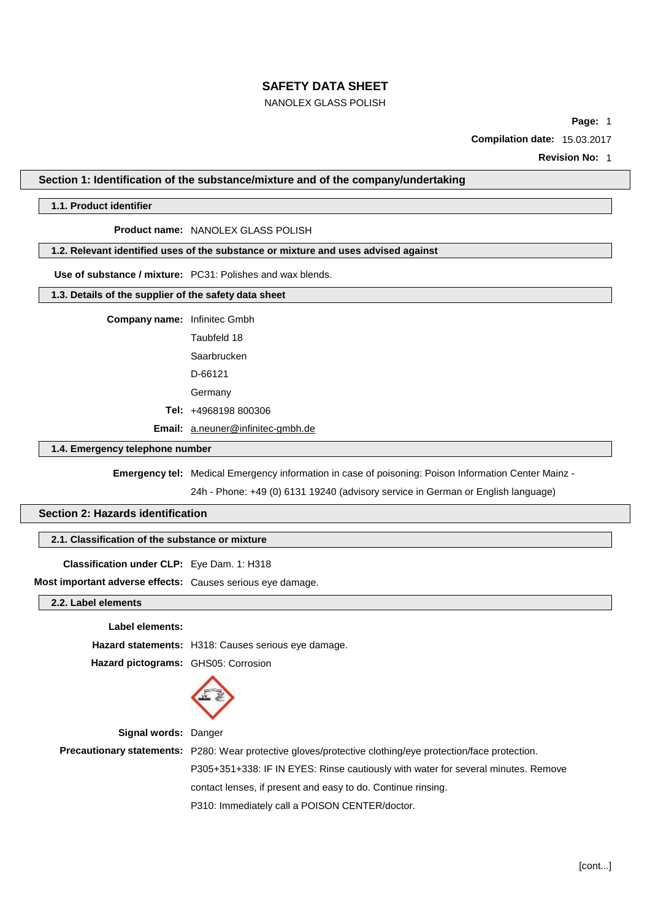# NANOLEX GLASS POLISH

**Page:** 1

**Compilation date:** 15.03.2017

**Revision No:** 1

### **Section 1: Identification of the substance/mixture and of the company/undertaking**

### **1.1. Product identifier**

#### **Product name:** NANOLEX GLASS POLISH

### **1.2. Relevant identified uses of the substance or mixture and uses advised against**

**Use of substance / mixture:** PC31: Polishes and wax blends.

### **1.3. Details of the supplier of the safety data sheet**

**Company name:** Infinitec Gmbh

Taubfeld 18

Saarbrucken

D-66121

Germany

**Tel:** +4968198 800306

**Email:** [a.neuner@infinitec-gmbh.de](mailto:a.neuner@infinitec-gmbh.de)

# **1.4. Emergency telephone number**

**Emergency tel:** Medical Emergency information in case of poisoning: Poison Information Center Mainz -

24h - Phone: +49 (0) 6131 19240 (advisory service in German or English language)

# **Section 2: Hazards identification**

## **2.1. Classification of the substance or mixture**

### **Classification under CLP:** Eye Dam. 1: H318

**Most important adverse effects:** Causes serious eye damage.

### **2.2. Label elements**

#### **Label elements:**

**Hazard statements:** H318: Causes serious eye damage. **Hazard pictograms:** GHS05: Corrosion



#### **Signal words:** Danger

**Precautionary statements:** P280: Wear protective gloves/protective clothing/eye protection/face protection. P305+351+338: IF IN EYES: Rinse cautiously with water for several minutes. Remove contact lenses, if present and easy to do. Continue rinsing. P310: Immediately call a POISON CENTER/doctor.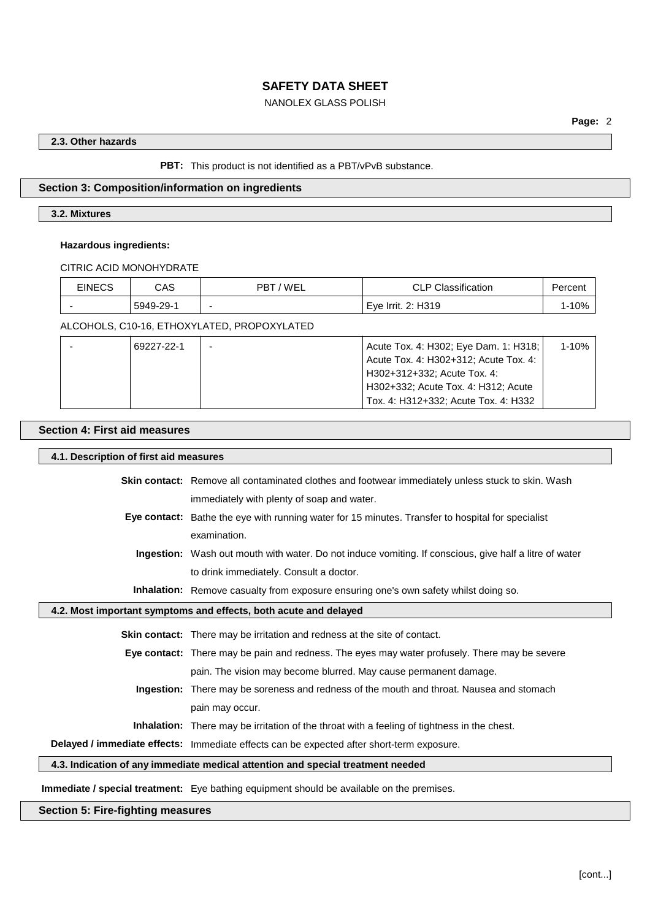# NANOLEX GLASS POLISH

# **2.3. Other hazards**

**PBT:** This product is not identified as a PBT/vPvB substance.

# **Section 3: Composition/information on ingredients**

# **3.2. Mixtures**

## **Hazardous ingredients:**

CITRIC ACID MONOHYDRATE

| <b>EINECS</b> | CAS       | 'WEL<br><b>PBT</b>       | <b>CLP Classification</b> | Percen |
|---------------|-----------|--------------------------|---------------------------|--------|
|               | 5949-29-1 | $\overline{\phantom{0}}$ | Eye Irrit. 2: H319        | $-10%$ |

ALCOHOLS, C10-16, ETHOXYLATED, PROPOXYLATED

| 69227-22-1 | Acute Tox. 4: H302; Eye Dam. 1: H318; | $1 - 10%$ |
|------------|---------------------------------------|-----------|
|            | Acute Tox. 4: H302+312; Acute Tox. 4: |           |
|            | H302+312+332; Acute Tox. 4:           |           |
|            | H302+332; Acute Tox. 4: H312; Acute   |           |
|            | Tox. 4: H312+332: Acute Tox. 4: H332  |           |

## **Section 4: First aid measures**

# **4.1. Description of first aid measures**

|                                                                                 | <b>Skin contact:</b> Remove all contaminated clothes and footwear immediately unless stuck to skin. Wash      |  |
|---------------------------------------------------------------------------------|---------------------------------------------------------------------------------------------------------------|--|
|                                                                                 | immediately with plenty of soap and water.                                                                    |  |
|                                                                                 | Eye contact: Bathe the eye with running water for 15 minutes. Transfer to hospital for specialist             |  |
|                                                                                 | examination.                                                                                                  |  |
|                                                                                 | <b>Ingestion:</b> Wash out mouth with water. Do not induce vomiting. If conscious, give half a litre of water |  |
|                                                                                 | to drink immediately. Consult a doctor.                                                                       |  |
|                                                                                 | <b>Inhalation:</b> Remove casualty from exposure ensuring one's own safety whilst doing so.                   |  |
|                                                                                 | 4.2. Most important symptoms and effects, both acute and delayed                                              |  |
|                                                                                 | <b>Skin contact:</b> There may be irritation and redness at the site of contact.                              |  |
|                                                                                 | <b>Eye contact:</b> There may be pain and redness. The eyes may water profusely. There may be severe          |  |
|                                                                                 | pain. The vision may become blurred. May cause permanent damage.                                              |  |
|                                                                                 | <b>Ingestion:</b> There may be soreness and redness of the mouth and throat. Nausea and stomach               |  |
|                                                                                 | pain may occur.                                                                                               |  |
|                                                                                 | <b>Inhalation:</b> There may be irritation of the throat with a feeling of tightness in the chest.            |  |
|                                                                                 | Delayed / immediate effects: Immediate effects can be expected after short-term exposure.                     |  |
| 4.3. Indication of any immediate medical attention and special treatment needed |                                                                                                               |  |

**Immediate / special treatment:** Eye bathing equipment should be available on the premises.

# **Section 5: Fire-fighting measures**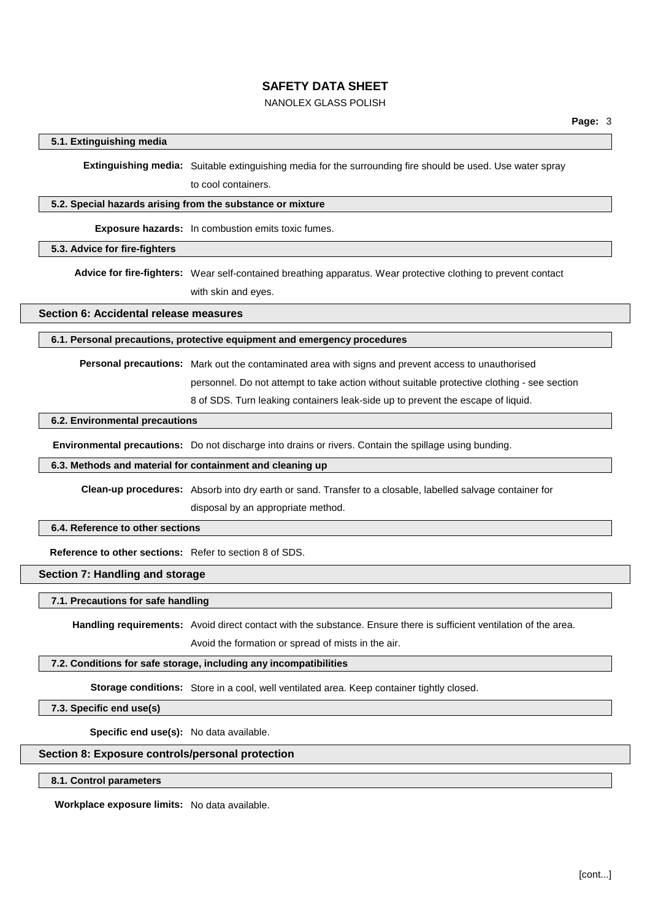# NANOLEX GLASS POLISH

## **5.1. Extinguishing media**

**Extinguishing media:** Suitable extinguishing media for the surrounding fire should be used. Use water spray to cool containers.

#### **5.2. Special hazards arising from the substance or mixture**

**Exposure hazards:** In combustion emits toxic fumes.

### **5.3. Advice for fire-fighters**

**Advice for fire-fighters:** Wear self-contained breathing apparatus. Wear protective clothing to prevent contact with skin and eyes.

**Section 6: Accidental release measures**

**6.1. Personal precautions, protective equipment and emergency procedures**

**Personal precautions:** Mark out the contaminated area with signs and prevent access to unauthorised

personnel. Do not attempt to take action without suitable protective clothing - see section

8 of SDS. Turn leaking containers leak-side up to prevent the escape of liquid.

### **6.2. Environmental precautions**

**Environmental precautions:** Do not discharge into drains or rivers. Contain the spillage using bunding.

#### **6.3. Methods and material for containment and cleaning up**

**Clean-up procedures:** Absorb into dry earth or sand. Transfer to a closable, labelled salvage container for disposal by an appropriate method.

### **6.4. Reference to other sections**

**Reference to other sections:** Refer to section 8 of SDS.

## **Section 7: Handling and storage**

#### **7.1. Precautions for safe handling**

**Handling requirements:** Avoid direct contact with the substance. Ensure there is sufficient ventilation of the area.

Avoid the formation or spread of mists in the air.

### **7.2. Conditions for safe storage, including any incompatibilities**

**Storage conditions:** Store in a cool, well ventilated area. Keep container tightly closed.

**7.3. Specific end use(s)**

**Specific end use(s):** No data available.

### **Section 8: Exposure controls/personal protection**

**8.1. Control parameters**

**Workplace exposure limits:** No data available.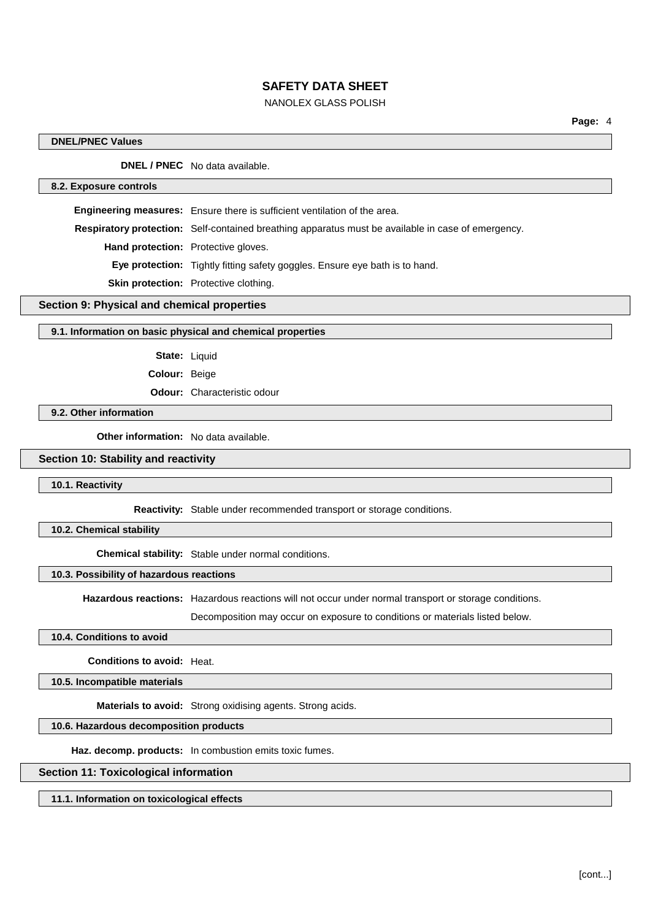# NANOLEX GLASS POLISH

## **DNEL/PNEC Values**

**DNEL / PNEC** No data available.

#### **8.2. Exposure controls**

**Engineering measures:** Ensure there is sufficient ventilation of the area. **Respiratory protection:** Self-contained breathing apparatus must be available in case of emergency.

**Hand protection:** Protective gloves.

**Eye protection:** Tightly fitting safety goggles. Ensure eye bath is to hand.

**Skin protection:** Protective clothing.

# **Section 9: Physical and chemical properties**

### **9.1. Information on basic physical and chemical properties**

**State:** Liquid

**Colour:** Beige

**Odour:** Characteristic odour

### **9.2. Other information**

**Other information:** No data available.

### **Section 10: Stability and reactivity**

**10.1. Reactivity**

**Reactivity:** Stable under recommended transport or storage conditions.

**10.2. Chemical stability**

**Chemical stability:** Stable under normal conditions.

# **10.3. Possibility of hazardous reactions**

**Hazardous reactions:** Hazardous reactions will not occur under normal transport or storage conditions.

Decomposition may occur on exposure to conditions or materials listed below.

### **10.4. Conditions to avoid**

**Conditions to avoid:** Heat.

**10.5. Incompatible materials**

**Materials to avoid:** Strong oxidising agents. Strong acids.

### **10.6. Hazardous decomposition products**

**Haz. decomp. products:** In combustion emits toxic fumes.

## **Section 11: Toxicological information**

**11.1. Information on toxicological effects**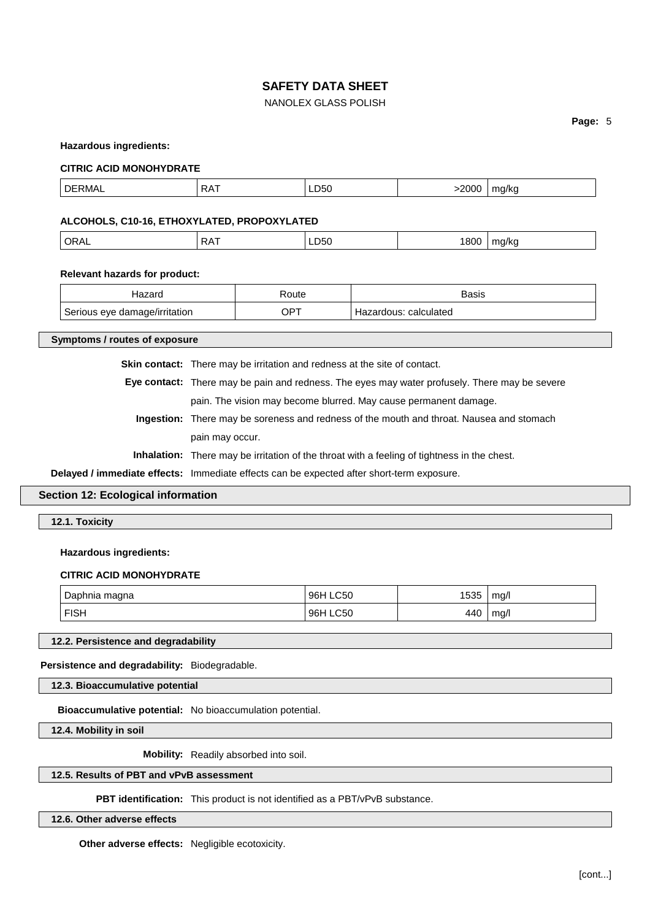# NANOLEX GLASS POLISH

### **Page:** 5

#### **Hazardous ingredients:**

#### **CITRIC ACID MONOHYDRATE**

|  | nr.<br>. <m ^<="" th=""><th><math>\Lambda</math><br/></th><th>LDOU<br/>__</th><th>2000</th><th>1/r<br/><math>\blacksquare</math><br/>. .</th></m> | $\Lambda$<br> | LDOU<br>__ | 2000 | 1/r<br>$\blacksquare$<br>. . |
|--|---------------------------------------------------------------------------------------------------------------------------------------------------|---------------|------------|------|------------------------------|
|--|---------------------------------------------------------------------------------------------------------------------------------------------------|---------------|------------|------|------------------------------|

## **ALCOHOLS, C10-16, ETHOXYLATED, PROPOXYLATED**

| 1800<br>RΔ<br>na/kc<br>LD50<br>$\mathbf{v}$<br>₩<br>.<br>. . |
|--------------------------------------------------------------|
|--------------------------------------------------------------|

#### **Relevant hazards for product:**

| lazarc                        | Route | Basis                      |
|-------------------------------|-------|----------------------------|
| Serious eye damage/irritation | . PT  | : calculated<br>Hazardous: |

**Symptoms / routes of exposure**

**Skin contact:** There may be irritation and redness at the site of contact.

**Eye contact:** There may be pain and redness. The eyes may water profusely. There may be severe pain. The vision may become blurred. May cause permanent damage.

**Ingestion:** There may be soreness and redness of the mouth and throat. Nausea and stomach pain may occur.

**Inhalation:** There may be irritation of the throat with a feeling of tightness in the chest.

**Delayed / immediate effects:** Immediate effects can be expected after short-term exposure.

# **Section 12: Ecological information**

**12.1. Toxicity**

#### **Hazardous ingredients:**

#### **CITRIC ACID MONOHYDRATE**

| Daphnia     | <b>LC50</b>        | 153F | mg/l        |
|-------------|--------------------|------|-------------|
| maana       | $96+$              | טטטו |             |
| <b>FISH</b> | <b>LC50</b><br>96⊢ | 440  | ma/l<br>. . |

# **12.2. Persistence and degradability**

**Persistence and degradability:** Biodegradable.

**12.3. Bioaccumulative potential**

**Bioaccumulative potential:** No bioaccumulation potential.

**12.4. Mobility in soil**

**Mobility:** Readily absorbed into soil.

# **12.5. Results of PBT and vPvB assessment**

**PBT identification:** This product is not identified as a PBT/vPvB substance.

**12.6. Other adverse effects**

**Other adverse effects:** Negligible ecotoxicity.